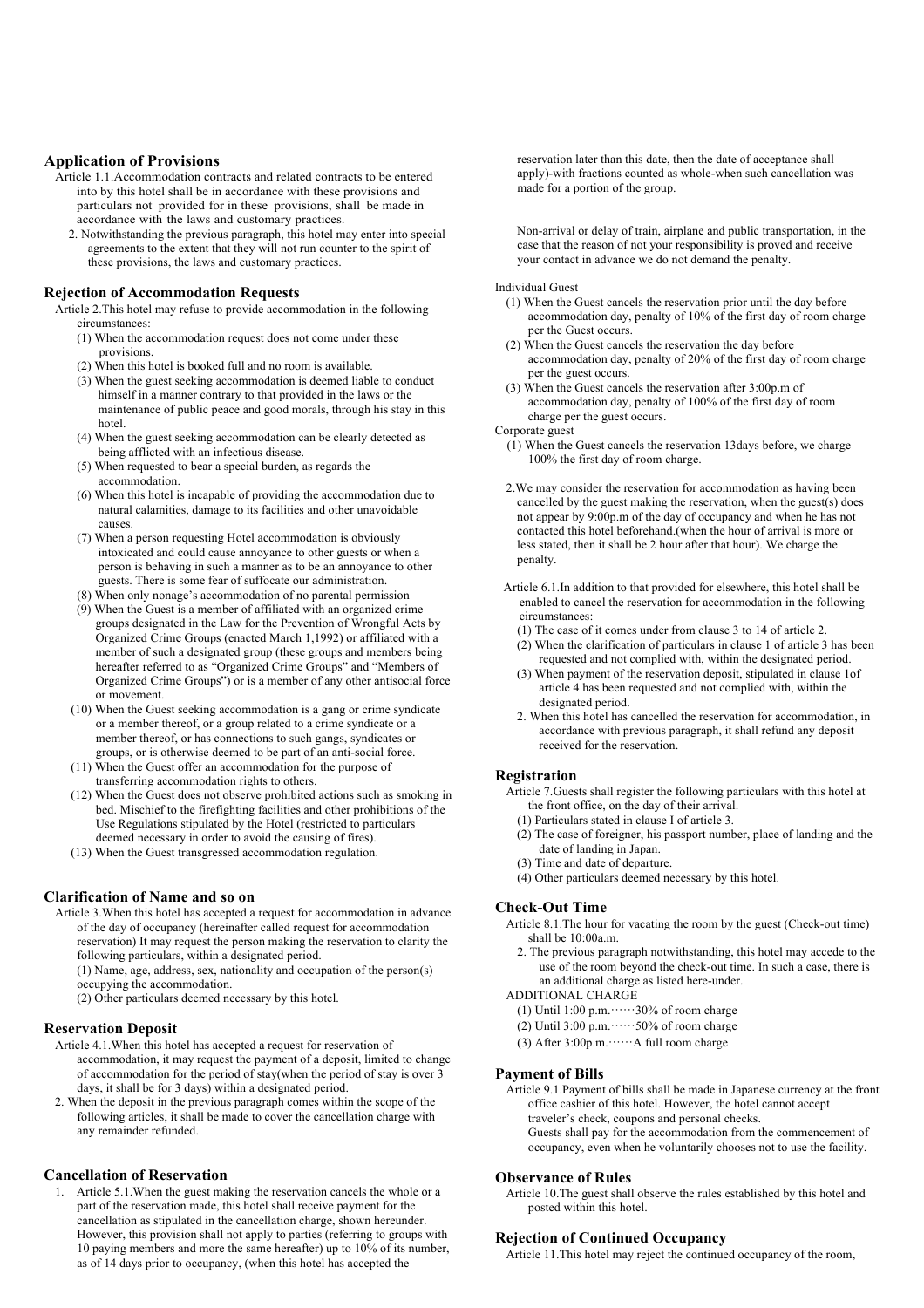# **Application of Provisions**

- Article 1.1.Accommodation contracts and related contracts to be entered into by this hotel shall be in accordance with these provisions and particulars not provided for in these provisions, shall be made in accordance with the laws and customary practices.
	- 2. Notwithstanding the previous paragraph, this hotel may enter into special agreements to the extent that they will not run counter to the spirit of these provisions, the laws and customary practices.

# **Rejection of Accommodation Requests**

Article 2.This hotel may refuse to provide accommodation in the following circumstances:

- (1) When the accommodation request does not come under these provisions.
- (2) When this hotel is booked full and no room is available.
- (3) When the guest seeking accommodation is deemed liable to conduct himself in a manner contrary to that provided in the laws or the maintenance of public peace and good morals, through his stay in this hotel.
- (4) When the guest seeking accommodation can be clearly detected as being afflicted with an infectious disease.
- (5) When requested to bear a special burden, as regards the accommodation.
- (6) When this hotel is incapable of providing the accommodation due to natural calamities, damage to its facilities and other unavoidable causes.
- (7) When a person requesting Hotel accommodation is obviously intoxicated and could cause annoyance to other guests or when a person is behaving in such a manner as to be an annoyance to other guests. There is some fear of suffocate our administration.
- (8) When only nonage's accommodation of no parental permission
- (9) When the Guest is a member of affiliated with an organized crime groups designated in the Law for the Prevention of Wrongful Acts by Organized Crime Groups (enacted March 1,1992) or affiliated with a member of such a designated group (these groups and members being hereafter referred to as "Organized Crime Groups" and "Members of Organized Crime Groups") or is a member of any other antisocial force or movement.
- (10) When the Guest seeking accommodation is a gang or crime syndicate or a member thereof, or a group related to a crime syndicate or a member thereof, or has connections to such gangs, syndicates or groups, or is otherwise deemed to be part of an anti-social force.
- (11) When the Guest offer an accommodation for the purpose of transferring accommodation rights to others.
- (12) When the Guest does not observe prohibited actions such as smoking in bed. Mischief to the firefighting facilities and other prohibitions of the Use Regulations stipulated by the Hotel (restricted to particulars deemed necessary in order to avoid the causing of fires).
- (13) When the Guest transgressed accommodation regulation.

# **Clarification of Name and so on**

- Article 3.When this hotel has accepted a request for accommodation in advance of the day of occupancy (hereinafter called request for accommodation reservation) It may request the person making the reservation to clarity the following particulars, within a designated period.
	- (1) Name, age, address, sex, nationality and occupation of the person(s) occupying the accommodation.
	- (2) Other particulars deemed necessary by this hotel.

## **Reservation Deposit**

- Article 4.1.When this hotel has accepted a request for reservation of accommodation, it may request the payment of a deposit, limited to change of accommodation for the period of stay(when the period of stay is over 3 days, it shall be for 3 days) within a designated period.
- 2. When the deposit in the previous paragraph comes within the scope of the following articles, it shall be made to cover the cancellation charge with any remainder refunded.

#### **Cancellation of Reservation**

1. Article 5.1.When the guest making the reservation cancels the whole or a part of the reservation made, this hotel shall receive payment for the cancellation as stipulated in the cancellation charge, shown hereunder. However, this provision shall not apply to parties (referring to groups with 10 paying members and more the same hereafter) up to 10% of its number, as of 14 days prior to occupancy, (when this hotel has accepted the

reservation later than this date, then the date of acceptance shall apply)-with fractions counted as whole-when such cancellation was made for a portion of the group.

Non-arrival or delay of train, airplane and public transportation, in the case that the reason of not your responsibility is proved and receive your contact in advance we do not demand the penalty.

#### Individual Guest

- (1) When the Guest cancels the reservation prior until the day before accommodation day, penalty of 10% of the first day of room charge per the Guest occurs.
- (2) When the Guest cancels the reservation the day before accommodation day, penalty of 20% of the first day of room charge per the guest occurs.
- (3) When the Guest cancels the reservation after 3:00p.m of accommodation day, penalty of 100% of the first day of room charge per the guest occurs.

Corporate guest

- (1) When the Guest cancels the reservation 13days before, we charge 100% the first day of room charge.
- 2.We may consider the reservation for accommodation as having been cancelled by the guest making the reservation, when the guest(s) does not appear by 9:00p.m of the day of occupancy and when he has not contacted this hotel beforehand.(when the hour of arrival is more or less stated, then it shall be 2 hour after that hour). We charge the penalty.
- Article 6.1.In addition to that provided for elsewhere, this hotel shall be enabled to cancel the reservation for accommodation in the following circumstances:
	- (1) The case of it comes under from clause 3 to 14 of article 2.
	- (2) When the clarification of particulars in clause 1 of article 3 has been requested and not complied with, within the designated period.
	- (3) When payment of the reservation deposit, stipulated in clause 1of article 4 has been requested and not complied with, within the designated period.
	- 2. When this hotel has cancelled the reservation for accommodation, in accordance with previous paragraph, it shall refund any deposit received for the reservation.

# **Registration**

- Article 7.Guests shall register the following particulars with this hotel at the front office, on the day of their arrival.
	- (1) Particulars stated in clause I of article 3.
- (2) The case of foreigner, his passport number, place of landing and the date of landing in Japan.
- (3) Time and date of departure.
- (4) Other particulars deemed necessary by this hotel.

# **Check-Out Time**

- Article 8.1.The hour for vacating the room by the guest (Check-out time) shall be 10:00a.m.
	- 2. The previous paragraph notwithstanding, this hotel may accede to the use of the room beyond the check-out time. In such a case, there is an additional charge as listed here-under.

#### ADDITIONAL CHARGE

- (1) Until 1:00 p.m.  $\cdots$  30% of room charge
- (2) Until 3:00 p.m.……50% of room charge
- (3) After 3:00p.m.……A full room charge

#### **Payment of Bills**

Article 9.1.Payment of bills shall be made in Japanese currency at the front office cashier of this hotel. However, the hotel cannot accept traveler's check, coupons and personal checks.

- Guests shall pay for the accommodation from the commencement of
- occupancy, even when he voluntarily chooses not to use the facility.

# **Observance of Rules**

Article 10.The guest shall observe the rules established by this hotel and posted within this hotel.

#### **Rejection of Continued Occupancy**

Article 11.This hotel may reject the continued occupancy of the room,